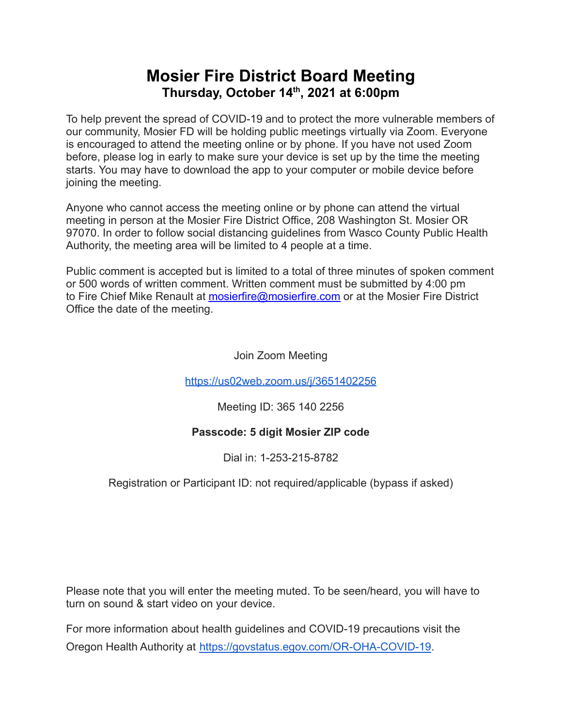# **Mosier Fire District Board Meeting Thursday, October 14 th , 2021 at 6:00pm**

To help prevent the spread of COVID-19 and to protect the more vulnerable members of our community, Mosier FD will be holding public meetings virtually via Zoom. Everyone is encouraged to attend the meeting online or by phone. If you have not used Zoom before, please log in early to make sure your device is set up by the time the meeting starts. You may have to download the app to your computer or mobile device before joining the meeting.

Anyone who cannot access the meeting online or by phone can attend the virtual meeting in person at the Mosier Fire District Office, 208 Washington St. Mosier OR 97070. In order to follow social distancing guidelines from Wasco County Public Health Authority, the meeting area will be limited to 4 people at a time.

Public comment is accepted but is limited to a total of three minutes of spoken comment or 500 words of written comment. Written comment must be submitted by 4:00 pm to Fire Chief Mike Renault at [mosierfire@mosierfire.com](mailto:mosierfire@mosierfire.com) or at the Mosier Fire District Office the date of the meeting.

Join Zoom Meeting

<https://us02web.zoom.us/j/3651402256>

Meeting ID: 365 140 2256

## **Passcode: 5 digit Mosier ZIP code**

Dial in: 1-253-215-8782

## Registration or Participant ID: not required/applicable (bypass if asked)

Please note that you will enter the meeting muted. To be seen/heard, you will have to turn on sound & start video on your device.

For more information about health guidelines and COVID-19 precautions visit the Oregon Health Authority at [https://govstatus.egov.com/OR-OHA-COVID-19.](https://govstatus.egov.com/OR-OHA-COVID-19)